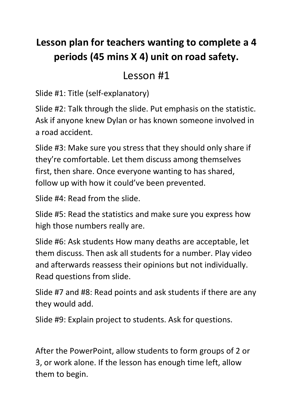## **Lesson plan for teachers wanting to complete a 4 periods (45 mins X 4) unit on road safety.**

### Lesson #1

Slide #1: Title (self-explanatory)

Slide #2: Talk through the slide. Put emphasis on the statistic. Ask if anyone knew Dylan or has known someone involved in a road accident.

Slide #3: Make sure you stress that they should only share if they're comfortable. Let them discuss among themselves first, then share. Once everyone wanting to has shared, follow up with how it could've been prevented.

Slide #4: Read from the slide.

Slide #5: Read the statistics and make sure you express how high those numbers really are.

Slide #6: Ask students How many deaths are acceptable, let them discuss. Then ask all students for a number. Play video and afterwards reassess their opinions but not individually. Read questions from slide.

Slide #7 and #8: Read points and ask students if there are any they would add.

Slide #9: Explain project to students. Ask for questions.

After the PowerPoint, allow students to form groups of 2 or 3, or work alone. If the lesson has enough time left, allow them to begin.